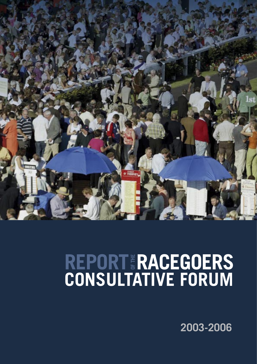

# **REPORT RACEGOERS**<br>CONSULTATIVE FORUM

**2003-2006**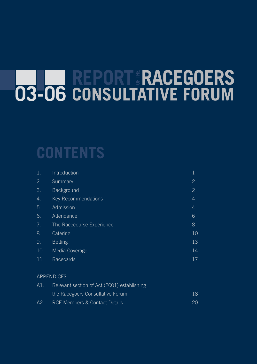## **03-06 REPORT RACEGOERS<br>CONSULTATIVE FORUM**

## **CONTENTS**

| 1.  | Introduction               |                |
|-----|----------------------------|----------------|
| 2.  | Summary                    | $\overline{2}$ |
| 3.  | Background                 | $\overline{2}$ |
| 4.  | <b>Key Recommendations</b> | $\overline{4}$ |
| 5.  | Admission                  | $\overline{4}$ |
| 6.  | <b>Attendance</b>          | 6              |
| 7.  | The Racecourse Experience  | 8              |
| 8.  | Catering                   | 10             |
| 9.  | <b>Betting</b>             | 13             |
| 10. | Media Coverage             | 14             |
| 11. | Racecards                  | 17             |
|     |                            |                |

## APPENDICES

| A1. | Relevant section of Act (2001) establishing |     |  |
|-----|---------------------------------------------|-----|--|
|     | the Racegoers Consultative Forum            | 18. |  |
| A2. | RCF Members & Contact Details               | 20. |  |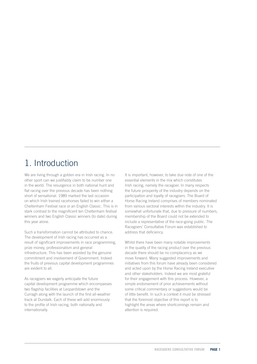## 1. Introduction

We are living through a golden era in Irish racing. In no other sport can we justifiably claim to be number one in the world. The resurgence in both national hunt and flat racing over the previous decade has been nothing short of sensational. 1989 marked the last occasion on which Irish trained racehorses failed to win either a Cheltenham Festival race or an English Classic. This is in stark contrast to the magnificent ten Cheltenham festival winners and two English Classic winners (to date) during this year alone.

Such a transformation cannot be attributed to chance. The development of Irish racing has occurred as a result of significant improvements in race programming, prize money, professionalism and general infrastructure. This has been assisted by the genuine commitment and involvement of Government. Indeed the fruits of previous capital development programmes are evident to all.

As racegoers we eagerly anticipate the future capital development programme which encompasses two flagship facilities at Leopardstown and the Curragh along with the launch of the first all-weather track at Dundalk. Each of these will add enormously to the profile of Irish racing, both nationally and internationally.

It is important, however, to take due note of one of the essential elements in the mix which constitutes Irish racing, namely the racegoer. In many respects the future prosperity of the industry depends on the participation and loyalty of racegoers. The Board of Horse Racing Ireland comprises of members nominated from various sectoral interests within the industry. It is somewhat unfortunate that, due to pressure of numbers. membership of the Board could not be extended to include a representative of the race-going public. The Racegoers' Consultative Forum was established to address that deficiency.

Whilst there have been many notable improvements in the quality of the racing product over the previous decade there should be no complacency as we move forward. Many suggested improvements and initiatives from this forum have already been considered and acted upon by the Horse Racing Ireland executive and other stakeholders. Indeed we are most grateful for their engagement with this process. However, a simple endorsement of prior achievements without some critical commentary or suggestions would be of little benefit. In such a context it must be stressed that the foremost objective of this report is to highlight the areas where shortcomings remain and attention is required.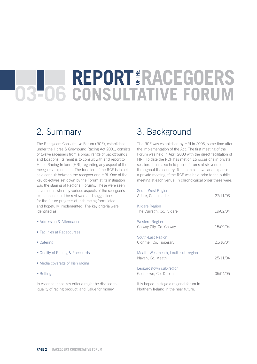## 2. Summary

The Racegoers Consultative Forum (RCF), established under the Horse & Greyhound Racing Act 2001, consists of twelve racegoers from a broad range of backgrounds and locations. Its remit is to consult with and report to Horse Racing Ireland (HRI) regarding any aspect of the racegoers' experience. The function of the RCF is to act as a conduit between the racegoer and HRI. One of the key objectives set down by the Forum at its instigation was the staging of Regional Forums. These were seen as a means whereby various aspects of the racegoer's experience could be reviewed and suggestions for the future progress of Irish racing formulated and hopefully, implemented. The key criteria were identified as:

- Admission & Attendance
- Facilities at Racecourses
- Catering
- Quality of Racing & Racecards
- Media coverage of Irish racing
- Betting

In essence these key criteria might be distilled to 'quality of racing product' and 'value for money'.

## 3. Background

The RCF was established by HRI in 2003, some time after the implementation of the Act. The first meeting of the Forum was held in April 2003 with the direct facilitation of HRI. To date the RCF has met on 15 occasions in private session. It has also held public forums at six venues throughout the country. To minimize travel and expense a private meeting of the RCF was held prior to the public meeting at each venue. In chronological order these were:

| South-West Region<br>Adare, Co. Limerick               | 27/11/03 |
|--------------------------------------------------------|----------|
| Kildare Region<br>The Curragh, Co. Kildare             | 19/02/04 |
| <b>Western Region</b><br>Galway City, Co. Galway       | 15/09/04 |
| South-East Region<br>Clonmel, Co. Tipperary            | 21/10/04 |
| Meath, Westmeath, Louth sub-region<br>Navan, Co. Meath | 25/11/04 |
| Leopardstown sub-region<br>Goatstown, Co. Dublin       | 05/04/05 |
| It is hoped to stage a regional forum in               |          |

Northern Ireland in the near future.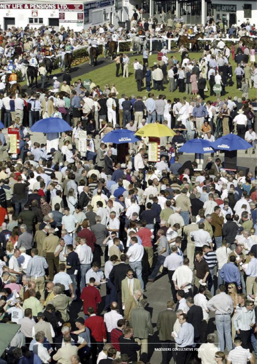**RACEGOERS CONSULTATIVE FORU** 

FICE

D

٠

п

**NEY** 

 $\overline{u}$ 

LIFE & PENSIONS LTD.

æ

 $\sqrt{2}$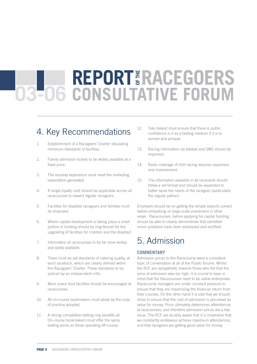## 4. Key Recommendations

- 1. Establishment of a Racegoers' Charter stipulating minimum standards of facilities.
- 2. Family admission tickets to be widely available at a fixed price.
- 3. The raceday experience must meet the marketing expectation generated.
- 4. A single loyalty card should be applicable across all racecourses to reward regular racegoers.
- 5. Facilities for disabled racegoers and families must be improved.
- 6. Where capital development is taking place a small portion of funding should be ring-fenced for the upgrading of facilities for children and the disabled.
- 7. Information at racecourses to be far more widely and easily available.
- 8. There must be set standards of catering quality, at each racetrack, which are clearly defined within the Racegoers' Charter. These standards to be policed by an independent critic.
- 9. More snack food facilities should be encouraged at racecourses.
- 10. All on-course bookmakers must abide by the code of practice adopted.
- 11. A strong competitive betting ring benefits all. On-course bookmakers must offer the same betting terms as those operating off-course.
- 12. Tote Ireland must ensure that there is public confidence in it as a betting medium if it is to survive and prosper.
- 13. Racing information via teletext and SMS should be improved.
- 14. Radio coverage of Irish racing requires expansion and improvement.
- 15. The information available in all racecards should follow a set format and should be expanded to better serve the needs of the racegoer (particularly the regular patron).

Emphasis should be on getting the simple aspects correct before embarking on large scale investment in other areas. Racecourses, before applying for capital funding, should be able to clearly demonstrate that identified minor problems have been addressed and rectified.

## 5. Admission

## **COMMENTARY**

Admission prices to the Racecourse were a consistent topic of conversation at all of the Public forums. Whilst the RCF are sympathetic towards those who felt that the price of admission was too high, it is crucial to bear in mind that the Racecourses need to be viable enterprises. Racecourse managers are under constant pressure to ensure that they are maximising the financial return from their courses. On the other hand it is vital that we should strive to ensure that the cost of admission is perceived as value for money. Price ultimately determines attendances at racecourses, and therefore admission prices are a key issue. The RCF are acutely aware that it is imperative that we constantly endeavour achieve maximum attendances, and that racegoers are getting good value for money.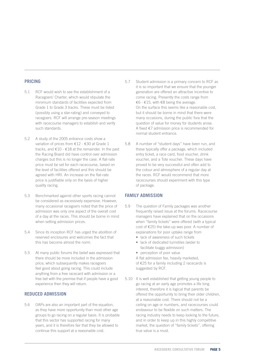#### **PRICING**

- 5.1 RCF would wish to see the establishment of a Racegoers' Charter, which would stipulate the minimum standards of facilities expected from Grade 1 to Grade 3 tracks. These must be listed (possibly using a star-rating) and conveyed to racegoers. RCF will arrange pre-season meetings with racecourse managers to establish and verify such standards.
- 5.2 A study of the 2005 entrance costs show a variation of prices from €12 - €30 at Grade 1 tracks, and  $\epsilon$ 10 -  $\epsilon$ 18 at the remainder. In the past the Racing Board did have control over admission charges but this is no longer the case. A flat-rate price must be set for each racecourse, based on the level of facilities offered and this should be agreed with HRI. An increase on the flat-rate price is justifiable only on the basis of higher quality racing.
- 5.3 Benchmarked against other sports racing cannot be considered as excessively expensive. However, many occasional racegoers noted that the price of admission was only one aspect of the overall cost of a day at the races. This should be borne in mind when setting admission prices.
- 5.4 Since its inception RCF has urged the abolition of reserved enclosures and welcomes the fact that this has become almost the norm.
- 5.5 At many public forums the belief was expressed that there should be more included in the admission price, which subsequently makes racegoers feel good about going racing. This could include anything from a free racecard with admission or a free bet with the premise that if people have a good experience then they will return.

#### **REDUCED ADMISSION**

5.6 OAPs are also an important part of the equation, as they have more opportunity than most other age groups to go racing on a regular basis. It is probable that this sector has supported racing for many years, and it is therefore fair that they be allowed to continue this support at a reasonable cost.

- 5.7 Student admission is a primary concern to RCF as it is so important that we ensure that the younger generation are offered an attractive incentive to come racing. Presently the costs range from €6 - €15, with €8 being the average. On the surface this seems like a reasonable cost, but it should be borne in mind that there were many occasions, during the public fora that the question of value for money for students arose. A fixed €7 admission price is recommended for normal student entrance.
- 5.8 A number of "student days" have been run, and these typically offer a package, which included entry ticket, a race card, food voucher, drink voucher, and a Tote voucher. These days have proved to be very successful and often add to the colour and atmosphere of a regular day at the races. RCF would recommend that more racecourses should experiment with this type of package.

## **FAMILY ADMISSION**

- 5.9 The question of Family packages was another frequently raised issue at the forums. Racecourse managers have explained that on the occasions when "family tickets" were offered (with a typical cost of €25) the take-up was poor. A number of explanations for poor uptake range from
	- lack of awareness of such tickets
	- lack of dedicated turnstiles (wider to facilitate buggy admission)
	- perception of poor value

 A flat admission fee, heavily marketed, of €25 for a family including 2 racecards is suggested by RCF.

5.10 It is well established that getting young people to go racing at an early age promotes a life long interest, therefore it is logical that parents be offered the opportunity to bring their older children, at a reasonable cost. There should not be a ceiling on age or numbers, and racecourses could endeavour to be flexible on such matters. The racing industry needs to keep looking to the future, and in order to keep up in this highly competitive market, the question of "family tickets", offering true value is a must.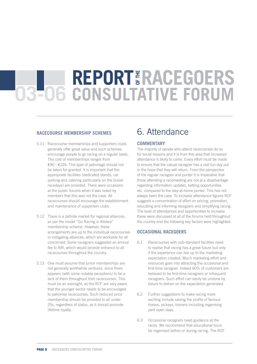## **RACECOURSE MEMBERSHIP SCHEMES**

- 5.11 Racecourse memberships and supporters clubs generally offer great value and such schemes encourage people to go racing on a regular basis. The cost of memberships ranges from €90 - €235. This type of patronage should not be taken for granted. It is important that the appropriate facilities (dedicated stands, car parking and catering particularly on the busier racedays) are provided. There were occasions at the public forums when it was noted by members that this was not the case. All racecourses should encourage the establishment and maintenance of supporters clubs.
- 5.12 There is a definite market for regional alliances, as per the model "Go Racing in Kildare" membership scheme. However, these arrangements are up to the individual racecourses in instigating alliances, which are workable for all concerned. Some racegoers suggested an annual fee to AIR, which would provide entrance to all racecourses throughout the country.
- 5.13 One must assume that junior memberships are not generally worthwhile ventures, since there appears (with some notable exceptions) to be a lack of them throughout Irish racecourses. This must be an oversight, as the RCF are very aware that the younger sector needs to be encouraged to patronise racecourses. Such reduced price membership should be provided to all under 25s, regardless of status, as it should promote lifetime loyalty.

## 6. Attendance

## **COMMENTARY**

The majority of people who attend racecourses do so for social reasons and it is from this area that increased attendance is likely to come. Every effort must be made to ensure that the casual racegoer has a real fun day out in the hope that they will return. From the perspective of the regular racegoer and punter it is imperative that those attending a racemeeting are not at a disadvantage regarding information updates, betting opportunities etc. compared to the stay-at-home punter. This has not always been the case. To increase attendance figures RCF suggests a concentration of effort on pricing, promotion, educating and informing racegoers and simplifying racing. The level of attendances and opportunities to increase these were discussed at all of the forums held throughout the country and the following key factors were highlighted.

## **OCCASIONAL RACEGOERS**

- 6.1 Racecourses with sub-standard facilities need to realise that racing has a great future but only if the experience can live up to the marketing expectation created. Much marketing effort and resources goes into attracting the occasional and first-time racegoer. Indeed 60% of customers are believed to be first-time racegoers or infrequent racegoers. Such effort can easily be undone by failure to deliver on the expectation generated.
- 6.2 Further suggestions to make racing more exciting include raising the profile of famous horses, jockeys, trainers including organising yard open days.
- 6.3 Occasional racegoers need guidance at the races. We recommend that educational tours be organised before or during racing. The RCF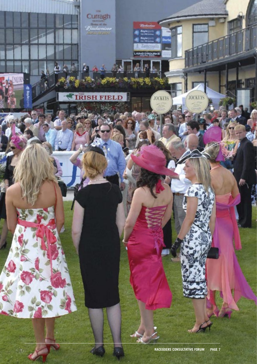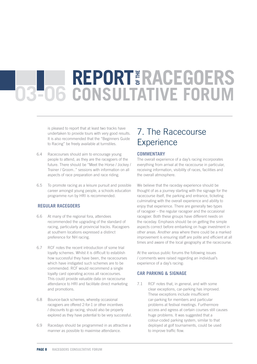is pleased to report that at least two tracks have undertaken to provide tours with very good results. It is also recommended that the "Beginners Guide to Racing" be freely available at turnstiles.

- 6.4 Racecourses should aim to encourage young people to attend, as they are the racegoers of the future. There should be "Meet the Horse / Jockey / Trainer / Groom.." sessions with information on all aspects of race preparation and race riding.
- 6.5 To promote racing as a leisure pursuit and possible career amongst young people, a schools education programme run by HRI is recommended.

## **REGULAR RACEGOERS**

- 6.6 At many of the regional fora, attendees recommended the upgrading of the standard of racing, particularly at provincial tracks. Racegoers at southern locations expressed a distinct preference for NH racing.
- 6.7 RCF notes the recent introduction of some trial loyalty schemes. Whilst it is difficult to establish how successful they have been, the racecourses which have instigated such schemes are to be commended. RCF would recommend a single loyalty card operating across all racecourses. This could provide valuable data on racecourse attendance to HRI and facilitate direct marketing and promotions.
- 6.8 Bounce-back schemes, whereby occasional racegoers are offered 2-for-1 or other incentives / discounts to go racing, should also be properly explored as they have potential to be very successful.
- 6.9 Racedays should be programmed in as attractive a manner as possible to maximise attendance.

## 7. The Racecourse **Experience**

### **COMMENTARY**

The overall experience of a day's racing incorporates everything from arrival at the racecourse in particular, receiving information, visibility of races, facilities and the overall atmosphere.

We believe that the raceday experience should be thought of as a journey starting with the signage for the racecourse itself, the parking and entrance, ticketing culminating with the overall experience and ability to enjoy that experience. There are generally two types of racegoer – the regular racegoer and the occasional racegoer. Both these groups have different needs on the raceday. Emphasis should be on getting the simple aspects correct before embarking on huge investment in other areas. Another area where there could be a marked improvement is ensuring staff are polite and efficient at all times and aware of the local geography at the racecourse.

At the various public forums the following issues / comments were raised regarding an individual's experience of a day's racing:

## **CAR PARKING & SIGNAGE**

7.1 RCF notes that, in general, and with some clear exceptions, car-parking has improved. These exceptions include insufficient car-parking for members and particular problems at festival meetings. Furthermore access and egress at certain courses still causes huge problems. It was suggested that a colour-coded parking system, similar to that deployed at golf tournaments, could be used to improve traffic flow.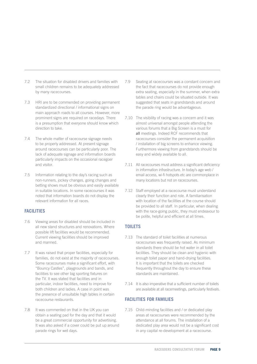- 7.2 The situation for disabled drivers and families with small children remains to be adequately addressed by many racecourses.
- 7.3 HRI are to be commended on providing permanent standardized directional / informational signs on main approach roads to all courses. However, more prominent signs are required on racedays. There is a presumption that everyone should know which direction to take.
- 7.4 The whole matter of racecourse signage needs to be properly addressed. At present signage around racecourses can be particularly poor. The lack of adequate signage and information boards particularly impacts on the occasional racegoer and visitor.
- 7.5 Information relating to the day's racing such as non-runners, jockey changes, going changes and betting shows must be obvious and easily available in suitable locations. In some racecourses it was noted that information boards do not display the relevant information for all races.

## **FACILITIES**

- 7.6 Viewing areas for disabled should be included in all new stand structures and renovations. Where possible lift facilities would be recommended. Current viewing facilities should be improved and manned.
- 7.7 It was raised that proper facilities, especially for families, do not exist at the majority of racecourses. Some racecourses make a significant effort, with "Bouncy Castles", playgrounds and bands, and facilities to see other big sporting fixtures on the TV. It was stated that facilities and in particular, indoor facilities, need to improve for both children and ladies. A case in point was the presence of unsuitable high tables in certain racecourse restaurants.
- 7.8 It was commented on that in the UK you can obtain a seating pad for the day and that it would be a great commercial opportunity for advertising. It was also asked if a cover could be put up around parade rings for wet days.
- 7.9 Seating at racecourses was a constant concern and the fact that racecourses do not provide enough extra seating, especially in the summer, when extra tables and chairs could be situated outside. It was suggested that seats in grandstands and around the parade ring would be advantageous.
- 7.10 The visibility of racing was a concern and it was almost universal amongst people attending the various forums that a Big Screen is a must for **all** meetings. Indeed RCF recommends that racecourses consider the permanent acquisition / installation of big screens to enhance viewing. Furthermore viewing from grandstands should be easy and widely available to all.
- 7.11 All racecourses must address a significant deficiency in information infrastructure. In today's age web / email access, wi-fi hotspots etc are commonplace in many locations but not on racecourses.
- 7.12 Staff employed at a racecourse must understand clearly their function and role. A familiarisation with location of the facilities at the course should be provided to all staff. In particular, when dealing with the race-going public, they must endeavour to be polite, helpful and efficient at all times.

## **TOILETS**

- 7.13 The standard of toilet facilities at numerous racecourses was frequently raised. As minimum standards there should be hot water in all toilet facilities. They should be clean and hygienic with enough toilet paper and hand-drying facilities. It is important that the toilets are checked frequently throughout the day to ensure these standards are maintained.
- 7.14 It is also imperative that a sufficient number of toilets are available at all racemeetings, particularly festivals.

## **FACILITIES FOR FAMILIES**

7.15 Child-minding facilities and / or dedicated play areas at racecourses were recommended by the attendance at all forums. The installation of a dedicated play area would not be a significant cost in any capital re-development at a racecourse.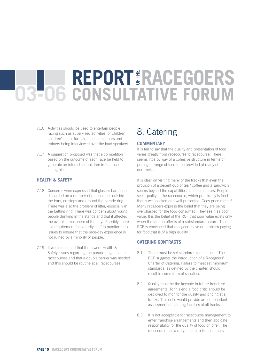- 7.16 Activities should be used to entertain people racing such as supervised activities for children, children's club, fun fair, racecourse tours and trainers being interviewed over the loud speakers.
- 7.17 A suggestion proposed was that a competition based on the outcome of each race be held to generate an interest for children in the races taking place.

### **HEALTH & SAFETY**

- 7.18 Concerns were expressed that glasses had been discarded on a number of racecourses outside the bars, on steps and around the parade ring. There was also the problem of litter, especially in the betting ring. There was concern about young people drinking in the stands and that it affected the overall atmosphere of the day. Possibly, there is a requirement for security staff to monitor these issues to ensure that the race-day experience is not ruined by a minority of people.
- 7.19 It was mentioned that there were Health & Safety issues regarding the parade ring at some racecourses and that a double barrier was needed and this should be routine at all racecourses.

## 8. Catering

## **COMMENTARY**

It is fair to say that the quality and presentation of food varies greatly from racecourse to racecourse. There seems little by way of a cohesive structure in terms of pricing or range of food to be provided at many of our tracks.

It is clear on visiting many of the tracks that even the provision of a decent cup of tea / coffee and a sandwich seems beyond the capabilities of some caterers. People seek quality at the racecourse, which put simply is food that is well cooked and well presented. Does price matter? Many racegoers express the belief that they are being overcharged for the food consumed. They see it as poor value. It is the belief of the RCF that poor value exists only when the fare on offer is of a substandard nature. The RCF is convinced that racegoers have no problem paying for food that is of a high quality.

#### **CATERING CONTRACTS**

- 8.1 There must be set standards for all tracks. The RCF suggests the introduction of a Racegoers' Charter of Catering. Failure to meet set minimum standards, as defined by the charter, should result in some form of sanction.
- 8.2 Quality must be the keynote in future franchise agreements. To this end a food critic should be deployed to monitor the quality and pricing at all tracks. This critic would provide an independent assessment of catering facilities at all tracks.
- 8.3 It is not acceptable for racecourse management to enter franchise arrangements and then abdicate responsibility for the quality of food on offer. The racecourse has a duty of care to its customers,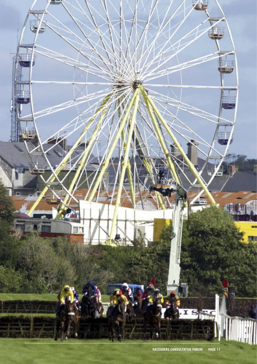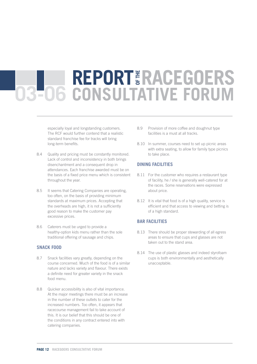especially loyal and longstanding customers. The RCF would further contend that a realistic standard franchise fee for tracks will bring long-term benefits.

- 8.4 Quality and pricing must be constantly monitored. Lack of control and inconsistency in both brings disenchantment and a consequent drop in attendances. Each franchise awarded must be on the basis of a fixed price menu which is consistent throughout the year.
- 8.5 It seems that Catering Companies are operating, too often, on the basis of providing minimum standards at maximum prices. Accepting that the overheads are high, it is not a sufficiently good reason to make the customer pay excessive prices.
- 8.6 Caterers must be urged to provide a healthy-option kids menu rather than the sole traditional offering of sausage and chips.

#### **SNACK FOOD**

- 8.7 Snack facilities vary greatly, depending on the course concerned. Much of the food is of a similar nature and lacks variety and flavour. There exists a definite need for greater variety in the snack food menu.
- 8.8 Quicker accessibility is also of vital importance. At the major meetings there must be an increase in the number of these outlets to cater for the increased numbers. Too often, it appears that racecourse management fail to take account of this. It is our belief that this should be one of the conditions in any contract entered into with catering companies.
- 8.9 Provision of more coffee and doughnut type facilities is a must at all tracks.
- 8.10 In summer, courses need to set up picnic areas with extra seating, to allow for family type picnics to take place.

## **DINING FACILITIES**

- 8.11 For the customer who requires a restaurant type of facility, he / she is generally well-catered for at the races. Some reservations were expressed about price.
- 8.12 It is vital that food is of a high quality, service is efficient and that access to viewing and betting is of a high standard.

## **BAR FACILITIES**

- 8.13 There should be proper stewarding of all egress areas to ensure that cups and glasses are not taken out to the stand area.
- 8.14 The use of plastic glasses and indeed styrofoam cups is both environmentally and aesthetically unacceptable.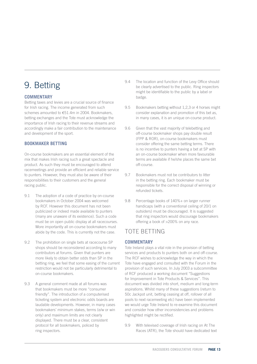## 9. Betting

### **COMMENTARY**

Betting taxes and levies are a crucial source of finance for Irish racing. The income generated from such schemes amounted to €51.4m in 2004. Bookmakers, betting exchanges and the Tote must acknowledge the importance of Irish racing to their revenue streams and accordingly make a fair contribution to the maintenance and development of the sport.

## **BOOKMAKER BETTING**

On-course bookmakers are an essential element of the mix that makes Irish racing such a great spectacle and product. As such they must be encouraged to attend racemeetings and provide an efficient and reliable service to punters. However, they must also be aware of their responsibilities to their customers and the general racing public.

- 9.1 The adoption of a code of practice by on-course bookmakers in October 2004 was welcomed by RCF. However this document has not been publicized or indeed made available to punters (many are unaware of its existence). Such a code must be on open public display at all racecourses. More importantly all on-course bookmakers must abide by the code. This is currently not the case.
- 9.2 The prohibition on single bets at racecourse SP shops should be reconsidered according to many contributors at forums. Given that punters are more likely to obtain better odds than SP in the betting ring, we feel that some easing of the current restriction would not be particularly detrimental to on-course bookmakers.
- 9.3 A general comment made at all forums was that bookmakers must be more "consumer friendly". The introduction of a computerised ticketing system and electronic odds boards are laudable developments. However, in many cases bookmakers' minimum stakes, terms (e/w or win only) and maximum limits are not clearly displayed. There must be a clear, consistent protocol for all bookmakers, policed by ring inspectors.
- 9.4 The location and function of the Levy Office should be clearly advertised to the public. Ring inspectors might be identifiable to the public by a label or badge.
- 9.5 Bookmakers betting without 1,2,3 or 4 horses might consider explanation and promotion of this bet as, in many cases, it is an unique on-course product.
- 9.6 Given that the vast majority of telebetting and off-course bookmaker shops pay double result (FPP & ROR), on-course bookmakers must consider offering the same betting terms. There is no incentive to punters having a bet at SP with an on-course bookmaker when more favourable terms are available if he/she places the same bet off-course.
- 9.7 Bookmakers must not be contributors to litter in the betting ring. Each bookmaker must be responsible for the correct disposal of winning or refunded tickets.
- 9.8 Percentage books of 140%+ on larger runner handicaps (with a conventional ceiling of 20/1 on outsiders) must be discouraged. It is suggested that ring inspectors would discourage bookmakers offering a book of >200% on any race.

## TOTE BETTING

## **COMMENTARY**

Tote Ireland plays a vital role in the provision of betting services and products to punters both on and off-course. The RCF wishes to acknowledge the way in which the Tote have engaged and consulted with the Forum in the provision of such services. In July 2003 a subcommittee of RCF produced a working document "Suggestions for Improvement in Tote Products & Services". This document was divided into short, medium and long-term aspirations. Whilst many of these suggestions (return to 50c Jackpot unit, betting ceasing at off, rollover of all pools to next racemeeting etc) have been implemented we would urge Tote Ireland to re-examine this document and consider how other inconsistencies and problems highlighted might be rectified.

9.9 With televised coverage of Irish racing on At The Races (ATR), the Tote should have dedicated text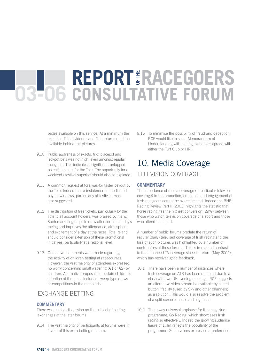pages available on this service. At a minimum the expected Tote dividends and Tote returns must be available behind the pictures.

- 9.10 Public awareness of exacta, trio, placepot and jackpot bets was not high, even amongst regular racegoers. This indicates a significant, untapped potential market for the Tote. The opportunity for a weekend / festival superbet should also be explored.
- 9.11 A common request at fora was for faster payout by the Tote. Indeed the re-instatement of dedicated payout windows, particularly at festivals, was also suggested.
- 9.12 The distribution of free tickets, particularly by the Tote to all account holders, was praised by many. Such marketing helps to draw attention to that day's racing and improves the attendance, atmosphere and excitement of a day at the races. Tote Ireland should consider extension of these promotional initiatives, particularly at a regional level.
- 9.13 One or two comments were made regarding the activity of children betting at racecourses. However, the vast majority of attendees expressed no worry concerning small wagering (€1 or €2) by children. Alternative proposals to sustain children's attention at the races included sweep-type draws or competitions in the racecards.

## EXCHANGE BETTING

## **COMMENTARY**

There was limited discussion on the subject of betting exchanges at the later forums.

9.14 The vast majority of participants at forums were in favour of this extra betting medium.

9.15 To minimise the possibility of fraud and deception RCF would like to see a Memorandum of Understanding with betting exchanges agreed with either the Turf Club or HRI.

## 10. Media Coverage TELEVISION COVERAGE

### **COMMENTARY**

The importance of media coverage (in particular televised coverage) in the promotion, education and engagement of Irish racegoers cannot be overestimated. Indeed the BHB Racing Review Part II (2003) highlights the statistic that horse racing has the highest conversion (29%) between those who watch television coverage of a sport and those who attend that sport.

A number of public forums predate the return of regular (daily) televised coverage of Irish racing and the loss of such pictures was highlighted by a number of contributors at those forums. This is in marked contrast to the enhanced TV coverage since its return (May 2004), which has received good feedback.

- 10.1 There have been a number of instances where Irish coverage on ATR has been demoted due to a clash with two UK evening meetings. RCF suggests an alternative video stream be available by a "red button" facility (used by Sky and other channels) as a solution. This would also resolve the problem of a split-screen due to clashing races.
- 10.2 There was universal applause for the magazine programme, Go Racing, which showcases Irish racing so effectively. Indeed the growing audience figure of 1.4m reflects the popularity of the programme. Some voices expressed a preference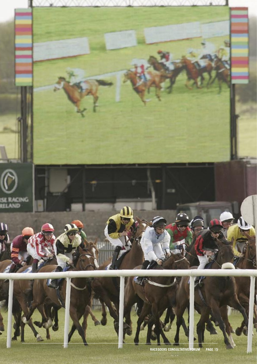







 **RACEGOERS CONSULTATIVE FORUM PAGE 15**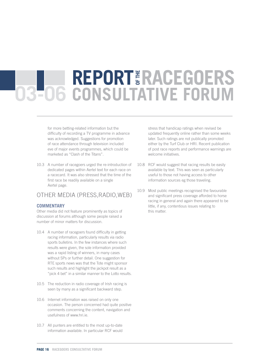for more betting-related information but the difficulty of recording a TV programme in advance was acknowledged. Suggestions for promotion of race attendance through television included eve of major events programmes, which could be marketed as "Clash of the Titans".

10.3 A number of racegoers urged the re-introduction of dedicated pages within Aertel text for each race on a racecard. It was also stressed that the time of the first race be readily available on a single Aertel page.

## OTHER MEDIA (PRESS,RADIO,WEB)

#### **COMMENTARY**

Other media did not feature prominently as topics of discussion at forums although some people raised a number of minor matters for discussion.

- 10.4 A number of racegoers found difficulty in getting racing information, particularly results via radio sports bulletins. In the few instances where such results were given, the sole information provided was a rapid listing of winners, in many cases without SPs or further detail. One suggestion for RTE sports news was that the Tote might sponsor such results and highlight the jackpot result as a "pick 4 bet" in a similar manner to the Lotto results.
- 10.5 The reduction in radio coverage of Irish racing is seen by many as a significant backward step.
- 10.6 Internet information was raised on only one occasion. The person concerned had quite positive comments concerning the content, navigation and usefulness of www.hri.ie.
- 10.7 All punters are entitled to the most up-to-date information available. In particular RCF would

stress that handicap ratings when revised be updated frequently online rather than some weeks later. Such ratings are not publically promoted either by the Turf Club or HRI. Recent publication of post race reports and performance warnings are welcome initiatives.

- 10.8 RCF would suggest that racing results be easily available by text. This was seen as particularly useful to those not having access to other information sources eg those traveling.
- 10.9 Most public meetings recognised the favourable and significant press coverage afforded to horse racing in general and again there appeared to be little, if any, contentious issues relating to this matter.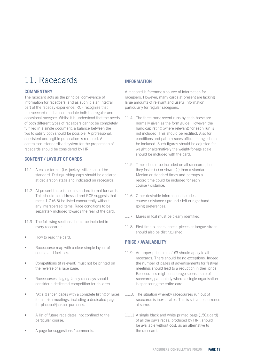## 11. Racecards

## **COMMENTARY**

The racecard acts as the principal conveyance of information for racegoers, and as such it is an integral part of the raceday experience. RCF recognise that the racecard must accommodate both the regular and occasional racegoer. Whilst it is understood that the needs of both different types of racegoers cannot be completely fulfilled in a single document, a balance between the two to satisfy both should be possible. A professional, consistent and legible publication is required. A centralised, standardised system for the preparation of racecards should be considered by HRI.

## **CONTENT / LAYOUT OF CARDS**

- 11.1 A colour format (i.e. jockeys silks) should be standard. Distinguishing caps should be declared at declaration stage and indicated on racecards.
- 11.2 At present there is not a standard format for cards. This should be addressed and RCF suggests that races 1-7 (6,8) be listed concurrently without any interspersed items. Race conditions to be separately included towards the rear of the card.
- 11.3 The following sections should be included in every racecard :
- How to read the card.
- Racecourse map with a clear simple layout of course and facilities.
- Competitions (if relevant) must not be printed on the reverse of a race page.
- Racecourses staging family racedays should consider a dedicated competition for children.
- "At a glance" pages with a complete listing of races for all Irish meetings, including a dedicated page for placepot/jackpot purposes.
- A list of future race dates, not confined to the particular course.
- A page for suggestions / comments.

### **INFORMATION**

A racecard is foremost a source of information for racegoers. However, many cards at present are lacking large amounts of relevant and useful information, particularly for regular racegoers.

- 11.4 The three most recent runs by each horse are normally given as the form guide. However, the handicap rating (where relevant) for each run is not included. This should be rectified. Also for conditions and pattern races official ratings should be included. Such figures should be adjusted for weight or alternatively the weight-for-age scale should be included with the card.
- 11.5 Times should be included on all racecards, be they faster (+) or slower (-) than a standard. Median or standard times and perhaps a record time could be included for each course / distance.
- 11.6 Other desirable information includes course / distance / ground / left or right hand going preferences.
- 11.7 Mares in foal must be clearly identified.
- 11.8 First-time blinkers, cheek-pieces or tongue-straps should also be distinguished.

## **PRICE / AVAILABILITY**

- 11.9 An upper price limit of €3 should apply to all racecards. There should be no exceptions. Indeed the number of pages of advertisements for festival meetings should lead to a reduction in their price. Racecourses might encourage sponsorship of racecards, particularly where a single organisation is sponsoring the entire card.
- 11.10 The situation whereby racecourses run out of racecards is inexcusable. This is still an occurrence at some.
- 11.11 A single black and white printed page (150g card) of all the day's races, produced by HRI, should be available without cost, as an alternative to the racecard.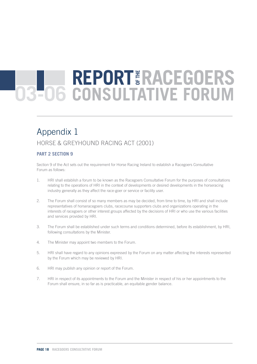## Appendix 1 HORSE & GREYHOUND RACING ACT (2001)

## **PART 2 SECTION 9**

Section 9 of the Act sets out the requirement for Horse Racing Ireland to establish a Racegoers Consultative Forum as follows:

- 1. HRI shall establish a forum to be known as the Racegoers Consultative Forum for the purposes of consultations relating to the operations of HRI in the context of developments or desired developments in the horseracing industry generally as they affect the race-goer or service or facility user.
- 2. The Forum shall consist of so many members as may be decided, from time to time, by HRI and shall include representatives of horseracegoers clubs, racecourse supporters clubs and organizations operating in the interests of racegoers or other interest groups affected by the decisions of HRI or who use the various facilities and services provided by HRI.
- 3. The Forum shall be established under such terms and conditions determined, before its establishment, by HRI, following consultations by the Minister.
- 4. The Minister may appoint two members to the Forum.
- 5. HRI shall have regard to any opinions expressed by the Forum on any matter affecting the interests represented by the Forum which may be reviewed by HRI.
- 6. HRI may publish any opinion or report of the Forum.
- 7. HRI in respect of its appointments to the Forum and the Minister in respect of his or her appointments to the Forum shall ensure, in so far as is practicable, an equitable gender balance.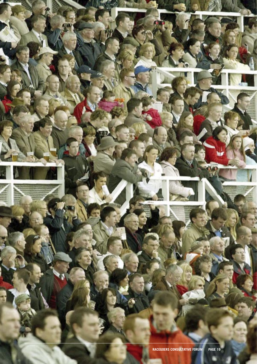**RACEGOERS CONSULTATIVE FORUM PAGE 19**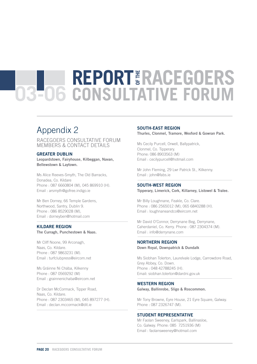## Appendix 2

RACEGOERS CONSULTATIVE FORUM MEMBERS & CONTACT DETAILS

#### **GREATER DUBLIN**

**Leopardstown, Fairyhouse, Kilbeggan, Navan, Bellewstown & Laytown.**

Ms Alice Reeves-Smyth, The Old Barracks, Donadea, Co. Kildare Phone : 087 6660804 (M), 045 869910 (H). Email : arsmyth@gofree.indigo.ie

Mr Ben Dorney, 66 Temple Gardens, Northwood, Santry, Dublin 9. Phone : 086 8529028 (M), Email : dorneyben@hotmail.com

#### **KILDARE REGION**

**The Curragh, Punchestown & Naas.**

Mr Cliff Noone, 99 Arconagh, Naas, Co. Kildare. Phone : 087 9863231 (M). Email : turfclubpress@eircom.net

Ms Gráinne Ni Chába, Kilkenny Phone : 087 0569292 (M) Email : grainnenichaba@eircom.net

Dr Declan McCormack, Tipper Road, Naas, Co. Kildare. Phone : 087 2303465 (M), 045 897277 (H). Email : declan.mccormack@dit.ie

#### **SOUTH-EAST REGION**

**Thurles, Clonmel, Tramore, Wexford & Gowran Park.**

Ms Cecily Purcell, Orwell, Ballypatrick, Clonmel, Co. Tipperary. Phone: 086 8903563 (M) Email : cecilypurcell@hotmail.com

Mr John Fleming, 29 Lwr Patrick St., Kilkenny. Email : john@fabs.ie

#### **SOUTH-WEST REGION**

**Tipperary, Limerick, Cork, Killarney, Listowel & Tralee.**

Mr Billy Loughnane, Feakle, Co. Clare. Phone : 086 2565012 (M), 065 6840288 (H). Email : loughnaneandco@eircom.net

Mr David O'Connor, Derrynane Beg, Derrynane, Caherdaniel, Co. Kerry. Phone : 087 2304374 (M). Email : info@derrynane.com

#### **NORTHERN REGION**

**Down Royal, Downpatrick & Dundalk**

Ms Siobhan Tolerton, Laurelvale Lodge, Carrowdore Road, Grey Abbey, Co. Down. Phone : 048 42788245 (H). Email: siobhan.tolerton@dardni.gov.uk

#### **WESTERN REGION**

**Galway, Ballinrobe, Sligo & Roscommon.**

Mr Tony Browne, Eyre House, 21 Eyre Square, Galway. Phone : 087 2326747 (M).

### **STUDENT REPRESENTATIVE**

Mr Faolan Sweeney, Earlspark, Ballinasloe, Co. Galway. Phone: 085 7251936 (M) Email : faolansweeney@hotmail.com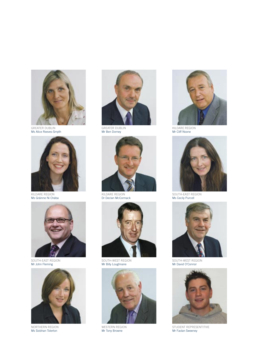

GREATER DUBLIN Ms Alice Reeves-Smyth



KILDARE REGION Ms Gráinne Ni Chába



SOUTH-EAST REGION Mr John Fleming



NORTHERN REGION Ms Siobhan Tolerton



GREATER DUBLIN Mr Ben Dorney



KILDARE REGION Dr Declan McCormack



SOUTH-WEST REGION Mr Billy Loughnane



WESTERN REGION Mr Tony Browne



KILDARE REGION Mr Cliff Noone



SOUTH-EAST REGION Ms Cecily Purcell



SOUTH-WEST REGION Mr David O'Connor



STUDENT REPRESENTITIVE Mr Faolan Sweeney